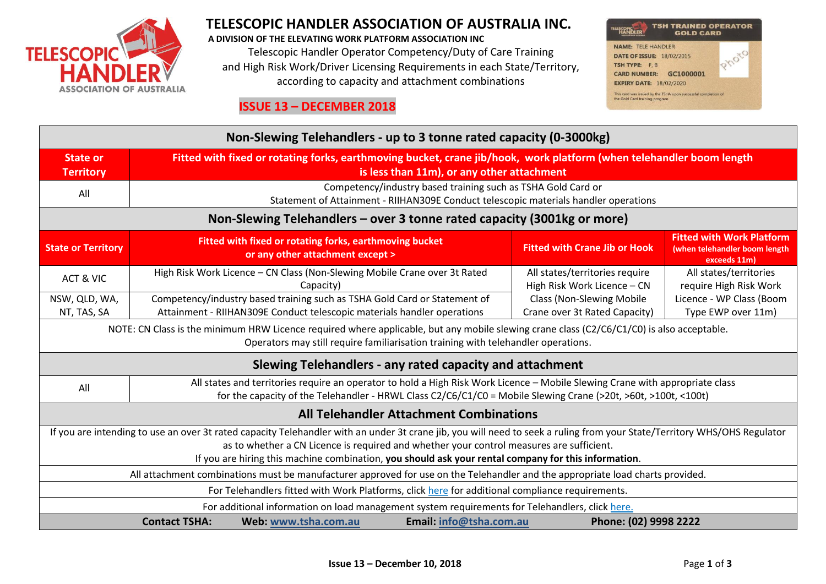

# **TELESCOPIC HANDLER ASSOCIATION OF AUSTRALIA INC.**

**A DIVISION OF THE ELEVATING WORK PLATFORM ASSOCIATION INC** Telescopic Handler Operator Competency/Duty of Care Training and High Risk Work/Driver Licensing Requirements in each State/Territory, according to capacity and attachment combinations



#### **ISSUE 13 – DECEMBER 2018**

| Non-Slewing Telehandlers - up to 3 tonne rated capacity (0-3000kg)                                                                                                                                                                                                                                                                                                           |                                                                                                                                                                                                                                                 |                                                                                                                                                      |                         |                                                                   |                                                                                                    |  |  |  |
|------------------------------------------------------------------------------------------------------------------------------------------------------------------------------------------------------------------------------------------------------------------------------------------------------------------------------------------------------------------------------|-------------------------------------------------------------------------------------------------------------------------------------------------------------------------------------------------------------------------------------------------|------------------------------------------------------------------------------------------------------------------------------------------------------|-------------------------|-------------------------------------------------------------------|----------------------------------------------------------------------------------------------------|--|--|--|
| <b>State or</b><br><b>Territory</b>                                                                                                                                                                                                                                                                                                                                          | Fitted with fixed or rotating forks, earthmoving bucket, crane jib/hook, work platform (when telehandler boom length<br>is less than 11m), or any other attachment                                                                              |                                                                                                                                                      |                         |                                                                   |                                                                                                    |  |  |  |
| All                                                                                                                                                                                                                                                                                                                                                                          | Competency/industry based training such as TSHA Gold Card or<br>Statement of Attainment - RIIHAN309E Conduct telescopic materials handler operations                                                                                            |                                                                                                                                                      |                         |                                                                   |                                                                                                    |  |  |  |
| Non-Slewing Telehandlers – over 3 tonne rated capacity (3001kg or more)                                                                                                                                                                                                                                                                                                      |                                                                                                                                                                                                                                                 |                                                                                                                                                      |                         |                                                                   |                                                                                                    |  |  |  |
| <b>State or Territory</b>                                                                                                                                                                                                                                                                                                                                                    |                                                                                                                                                                                                                                                 | Fitted with fixed or rotating forks, earthmoving bucket<br>or any other attachment except >                                                          |                         | <b>Fitted with Crane Jib or Hook</b>                              | <b>Fitted with Work Platform</b><br>(when telehandler boom length<br>exceeds 11m)                  |  |  |  |
| ACT & VIC                                                                                                                                                                                                                                                                                                                                                                    |                                                                                                                                                                                                                                                 | High Risk Work Licence - CN Class (Non-Slewing Mobile Crane over 3t Rated<br>Capacity)                                                               |                         | All states/territories require<br>High Risk Work Licence - CN     | All states/territories<br>require High Risk Work<br>Licence - WP Class (Boom<br>Type EWP over 11m) |  |  |  |
| NSW, QLD, WA,<br>NT, TAS, SA                                                                                                                                                                                                                                                                                                                                                 |                                                                                                                                                                                                                                                 | Competency/industry based training such as TSHA Gold Card or Statement of<br>Attainment - RIIHAN309E Conduct telescopic materials handler operations |                         | <b>Class (Non-Slewing Mobile</b><br>Crane over 3t Rated Capacity) |                                                                                                    |  |  |  |
| NOTE: CN Class is the minimum HRW Licence required where applicable, but any mobile slewing crane class (C2/C6/C1/C0) is also acceptable.<br>Operators may still require familiarisation training with telehandler operations.                                                                                                                                               |                                                                                                                                                                                                                                                 |                                                                                                                                                      |                         |                                                                   |                                                                                                    |  |  |  |
| Slewing Telehandlers - any rated capacity and attachment                                                                                                                                                                                                                                                                                                                     |                                                                                                                                                                                                                                                 |                                                                                                                                                      |                         |                                                                   |                                                                                                    |  |  |  |
| All                                                                                                                                                                                                                                                                                                                                                                          | All states and territories require an operator to hold a High Risk Work Licence - Mobile Slewing Crane with appropriate class<br>for the capacity of the Telehandler - HRWL Class C2/C6/C1/C0 = Mobile Slewing Crane (>20t, >60t, >100t, <100t) |                                                                                                                                                      |                         |                                                                   |                                                                                                    |  |  |  |
| <b>All Telehandler Attachment Combinations</b>                                                                                                                                                                                                                                                                                                                               |                                                                                                                                                                                                                                                 |                                                                                                                                                      |                         |                                                                   |                                                                                                    |  |  |  |
| If you are intending to use an over 3t rated capacity Telehandler with an under 3t crane jib, you will need to seek a ruling from your State/Territory WHS/OHS Regulator<br>as to whether a CN Licence is required and whether your control measures are sufficient.<br>If you are hiring this machine combination, you should ask your rental company for this information. |                                                                                                                                                                                                                                                 |                                                                                                                                                      |                         |                                                                   |                                                                                                    |  |  |  |
| All attachment combinations must be manufacturer approved for use on the Telehandler and the appropriate load charts provided.                                                                                                                                                                                                                                               |                                                                                                                                                                                                                                                 |                                                                                                                                                      |                         |                                                                   |                                                                                                    |  |  |  |
| For Telehandlers fitted with Work Platforms, click here for additional compliance requirements.                                                                                                                                                                                                                                                                              |                                                                                                                                                                                                                                                 |                                                                                                                                                      |                         |                                                                   |                                                                                                    |  |  |  |
| For additional information on load management system requirements for Telehandlers, click here.                                                                                                                                                                                                                                                                              |                                                                                                                                                                                                                                                 |                                                                                                                                                      |                         |                                                                   |                                                                                                    |  |  |  |
|                                                                                                                                                                                                                                                                                                                                                                              | <b>Contact TSHA:</b>                                                                                                                                                                                                                            | Web: www.tsha.com.au                                                                                                                                 | Email: info@tsha.com.au | Phone: (02) 9998 2222                                             |                                                                                                    |  |  |  |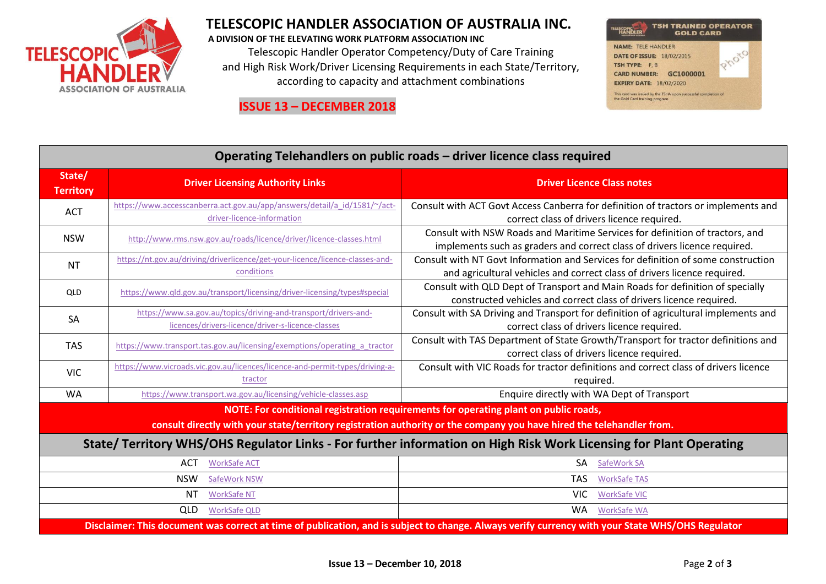

## **TELESCOPIC HANDLER ASSOCIATION OF AUSTRALIA INC.**

**A DIVISION OF THE ELEVATING WORK PLATFORM ASSOCIATION INC** Telescopic Handler Operator Competency/Duty of Care Training and High Risk Work/Driver Licensing Requirements in each State/Territory, according to capacity and attachment combinations





| Operating Telehandlers on public roads - driver licence class required                                                                                                                                        |                                                                                                                      |                                                                                                                                                               |  |  |  |  |  |
|---------------------------------------------------------------------------------------------------------------------------------------------------------------------------------------------------------------|----------------------------------------------------------------------------------------------------------------------|---------------------------------------------------------------------------------------------------------------------------------------------------------------|--|--|--|--|--|
| State/<br><b>Territory</b>                                                                                                                                                                                    | <b>Driver Licensing Authority Links</b>                                                                              | <b>Driver Licence Class notes</b>                                                                                                                             |  |  |  |  |  |
| <b>ACT</b>                                                                                                                                                                                                    | https://www.accesscanberra.act.gov.au/app/answers/detail/a id/1581/~/act-<br>driver-licence-information              | Consult with ACT Govt Access Canberra for definition of tractors or implements and<br>correct class of drivers licence required.                              |  |  |  |  |  |
| <b>NSW</b>                                                                                                                                                                                                    | http://www.rms.nsw.gov.au/roads/licence/driver/licence-classes.html                                                  | Consult with NSW Roads and Maritime Services for definition of tractors, and<br>implements such as graders and correct class of drivers licence required.     |  |  |  |  |  |
| <b>NT</b>                                                                                                                                                                                                     | https://nt.gov.au/driving/driverlicence/get-your-licence/licence-classes-and-<br>conditions                          | Consult with NT Govt Information and Services for definition of some construction<br>and agricultural vehicles and correct class of drivers licence required. |  |  |  |  |  |
| QLD                                                                                                                                                                                                           | https://www.gld.gov.au/transport/licensing/driver-licensing/types#special                                            | Consult with QLD Dept of Transport and Main Roads for definition of specially<br>constructed vehicles and correct class of drivers licence required.          |  |  |  |  |  |
| SA                                                                                                                                                                                                            | https://www.sa.gov.au/topics/driving-and-transport/drivers-and-<br>licences/drivers-licence/driver-s-licence-classes | Consult with SA Driving and Transport for definition of agricultural implements and<br>correct class of drivers licence required.                             |  |  |  |  |  |
| <b>TAS</b>                                                                                                                                                                                                    | https://www.transport.tas.gov.au/licensing/exemptions/operating a tractor                                            | Consult with TAS Department of State Growth/Transport for tractor definitions and<br>correct class of drivers licence required.                               |  |  |  |  |  |
| <b>VIC</b>                                                                                                                                                                                                    | https://www.vicroads.vic.gov.au/licences/licence-and-permit-types/driving-a-<br>tractor                              | Consult with VIC Roads for tractor definitions and correct class of drivers licence<br>required.                                                              |  |  |  |  |  |
| <b>WA</b>                                                                                                                                                                                                     | https://www.transport.wa.gov.au/licensing/vehicle-classes.asp                                                        | Enquire directly with WA Dept of Transport                                                                                                                    |  |  |  |  |  |
| NOTE: For conditional registration requirements for operating plant on public roads,<br>consult directly with your state/territory registration authority or the company you have hired the telehandler from. |                                                                                                                      |                                                                                                                                                               |  |  |  |  |  |
| State/Territory WHS/OHS Regulator Links - For further information on High Risk Work Licensing for Plant Operating                                                                                             |                                                                                                                      |                                                                                                                                                               |  |  |  |  |  |
| ACT<br><b>WorkSafe ACT</b><br>SA<br>SafeWork SA                                                                                                                                                               |                                                                                                                      |                                                                                                                                                               |  |  |  |  |  |
| <b>NSW</b><br><b>TAS</b><br>SafeWork NSW<br><b>WorkSafe TAS</b>                                                                                                                                               |                                                                                                                      |                                                                                                                                                               |  |  |  |  |  |
|                                                                                                                                                                                                               | ΝT<br><b>WorkSafe NT</b>                                                                                             | VIC.<br><b>WorkSafe VIC</b>                                                                                                                                   |  |  |  |  |  |
| <b>WA</b><br>QLD<br><b>WorkSafe QLD</b><br><b>WorkSafe WA</b>                                                                                                                                                 |                                                                                                                      |                                                                                                                                                               |  |  |  |  |  |

**Disclaimer: This document was correct at time of publication, and is subject to change. Always verify currency with your State WHS/OHS Regulator**